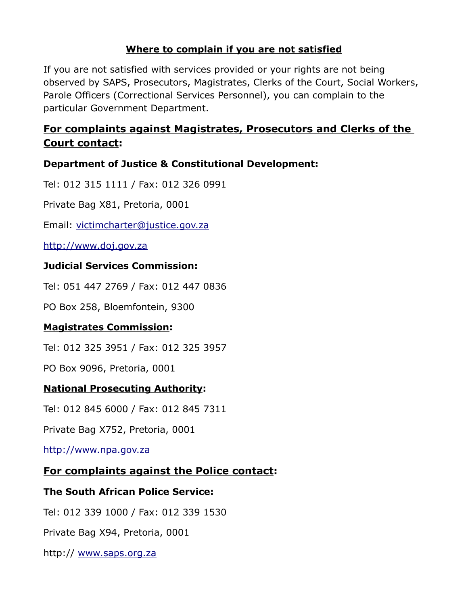### **Where to complain if you are not satisfied**

If you are not satisfied with services provided or your rights are not being observed by SAPS, Prosecutors, Magistrates, Clerks of the Court, Social Workers, Parole Officers (Correctional Services Personnel), you can complain to the particular Government Department.

# **For complaints against Magistrates, Prosecutors and Clerks of the Court contact:**

#### **Department of Justice & Constitutional Development:**

Tel: 012 315 1111 / Fax: 012 326 0991

Private Bag X81, Pretoria, 0001

Email: [victimcharter@justice.gov.za](mailto:victimcharter@justice.gov.za)

[http://www.doj.gov.za](http://www.doj.gov.za/)

#### **Judicial Services Commission:**

Tel: 051 447 2769 / Fax: 012 447 0836

PO Box 258, Bloemfontein, 9300

#### **Magistrates Commission:**

Tel: 012 325 3951 / Fax: 012 325 3957

PO Box 9096, Pretoria, 0001

#### **National Prosecuting Authority:**

Tel: 012 845 6000 / Fax: 012 845 7311

Private Bag X752, Pretoria, 0001

[http://www.npa.gov.za](http://www.npa.gov.za/)

#### **For complaints against the Police contact:**

#### **The South African Police Service:**

Tel: 012 339 1000 / Fax: 012 339 1530

Private Bag X94, Pretoria, 0001

http:// [www.saps.org.za](http://www.saps.org.za/)